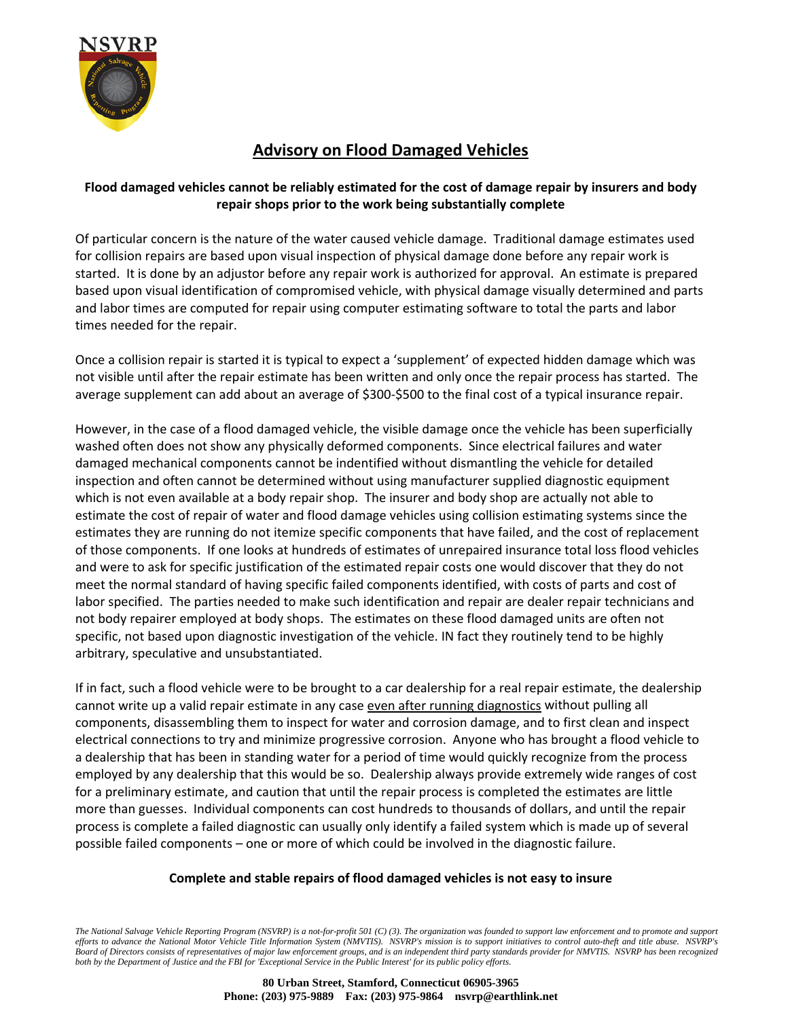

## **Advisory on Flood Damaged Vehicles**

### **Flood damaged vehicles cannot be reliably estimated for the cost of damage repair by insurers and body repair shops prior to the work being substantially complete**

Of particular concern is the nature of the water caused vehicle damage. Traditional damage estimates used for collision repairs are based upon visual inspection of physical damage done before any repair work is started. It is done by an adjustor before any repair work is authorized for approval. An estimate is prepared based upon visual identification of compromised vehicle, with physical damage visually determined and parts and labor times are computed for repair using computer estimating software to total the parts and labor times needed for the repair.

Once a collision repair is started it is typical to expect a 'supplement' of expected hidden damage which was not visible until after the repair estimate has been written and only once the repair process has started. The average supplement can add about an average of \$300‐\$500 to the final cost of a typical insurance repair.

However, in the case of a flood damaged vehicle, the visible damage once the vehicle has been superficially washed often does not show any physically deformed components. Since electrical failures and water damaged mechanical components cannot be indentified without dismantling the vehicle for detailed inspection and often cannot be determined without using manufacturer supplied diagnostic equipment which is not even available at a body repair shop. The insurer and body shop are actually not able to estimate the cost of repair of water and flood damage vehicles using collision estimating systems since the estimates they are running do not itemize specific components that have failed, and the cost of replacement of those components. If one looks at hundreds of estimates of unrepaired insurance total loss flood vehicles and were to ask for specific justification of the estimated repair costs one would discover that they do not meet the normal standard of having specific failed components identified, with costs of parts and cost of labor specified. The parties needed to make such identification and repair are dealer repair technicians and not body repairer employed at body shops. The estimates on these flood damaged units are often not specific, not based upon diagnostic investigation of the vehicle. IN fact they routinely tend to be highly arbitrary, speculative and unsubstantiated.

If in fact, such a flood vehicle were to be brought to a car dealership for a real repair estimate, the dealership cannot write up a valid repair estimate in any case even after running diagnostics without pulling all components, disassembling them to inspect for water and corrosion damage, and to first clean and inspect electrical connections to try and minimize progressive corrosion. Anyone who has brought a flood vehicle to a dealership that has been in standing water for a period of time would quickly recognize from the process employed by any dealership that this would be so. Dealership always provide extremely wide ranges of cost for a preliminary estimate, and caution that until the repair process is completed the estimates are little more than guesses. Individual components can cost hundreds to thousands of dollars, and until the repair process is complete a failed diagnostic can usually only identify a failed system which is made up of several possible failed components – one or more of which could be involved in the diagnostic failure.

#### **Complete and stable repairs of flood damaged vehicles is not easy to insure**

*The National Salvage Vehicle Reporting Program (NSVRP) is a not-for-profit 501 (C) (3). The organization was founded to support law enforcement and to promote and support efforts to advance the National Motor Vehicle Title Information System (NMVTIS). NSVRP's mission is to support initiatives to control auto-theft and title abuse. NSVRP's Board of Directors consists of representatives of major law enforcement groups, and is an independent third party standards provider for NMVTIS. NSVRP has been recognized both by the Department of Justice and the FBI for 'Exceptional Service in the Public Interest' for its public policy efforts.*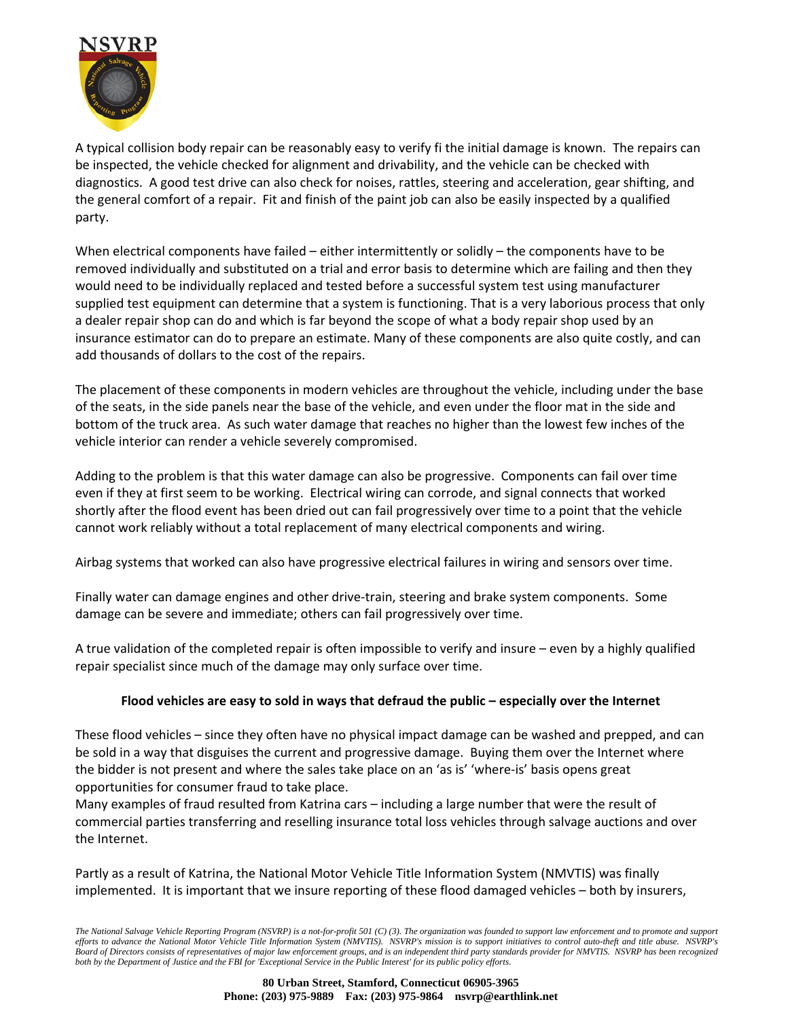

A typical collision body repair can be reasonably easy to verify fi the initial damage is known. The repairs can be inspected, the vehicle checked for alignment and drivability, and the vehicle can be checked with diagnostics. A good test drive can also check for noises, rattles, steering and acceleration, gear shifting, and the general comfort of a repair. Fit and finish of the paint job can also be easily inspected by a qualified party.

When electrical components have failed – either intermittently or solidly – the components have to be removed individually and substituted on a trial and error basis to determine which are failing and then they would need to be individually replaced and tested before a successful system test using manufacturer supplied test equipment can determine that a system is functioning. That is a very laborious process that only a dealer repair shop can do and which is far beyond the scope of what a body repair shop used by an insurance estimator can do to prepare an estimate. Many of these components are also quite costly, and can add thousands of dollars to the cost of the repairs.

The placement of these components in modern vehicles are throughout the vehicle, including under the base of the seats, in the side panels near the base of the vehicle, and even under the floor mat in the side and bottom of the truck area. As such water damage that reaches no higher than the lowest few inches of the vehicle interior can render a vehicle severely compromised.

Adding to the problem is that this water damage can also be progressive. Components can fail over time even if they at first seem to be working. Electrical wiring can corrode, and signal connects that worked shortly after the flood event has been dried out can fail progressively over time to a point that the vehicle cannot work reliably without a total replacement of many electrical components and wiring.

Airbag systems that worked can also have progressive electrical failures in wiring and sensors over time.

Finally water can damage engines and other drive‐train, steering and brake system components. Some damage can be severe and immediate; others can fail progressively over time.

A true validation of the completed repair is often impossible to verify and insure – even by a highly qualified repair specialist since much of the damage may only surface over time.

#### **Flood vehicles are easy to sold in ways that defraud the public – especially over the Internet**

These flood vehicles – since they often have no physical impact damage can be washed and prepped, and can be sold in a way that disguises the current and progressive damage. Buying them over the Internet where the bidder is not present and where the sales take place on an 'as is' 'where‐is' basis opens great opportunities for consumer fraud to take place.

Many examples of fraud resulted from Katrina cars – including a large number that were the result of commercial parties transferring and reselling insurance total loss vehicles through salvage auctions and over the Internet.

Partly as a result of Katrina, the National Motor Vehicle Title Information System (NMVTIS) was finally implemented. It is important that we insure reporting of these flood damaged vehicles – both by insurers,

*The National Salvage Vehicle Reporting Program (NSVRP) is a not-for-profit 501 (C) (3). The organization was founded to support law enforcement and to promote and support efforts to advance the National Motor Vehicle Title Information System (NMVTIS). NSVRP's mission is to support initiatives to control auto-theft and title abuse. NSVRP's Board of Directors consists of representatives of major law enforcement groups, and is an independent third party standards provider for NMVTIS. NSVRP has been recognized both by the Department of Justice and the FBI for 'Exceptional Service in the Public Interest' for its public policy efforts.*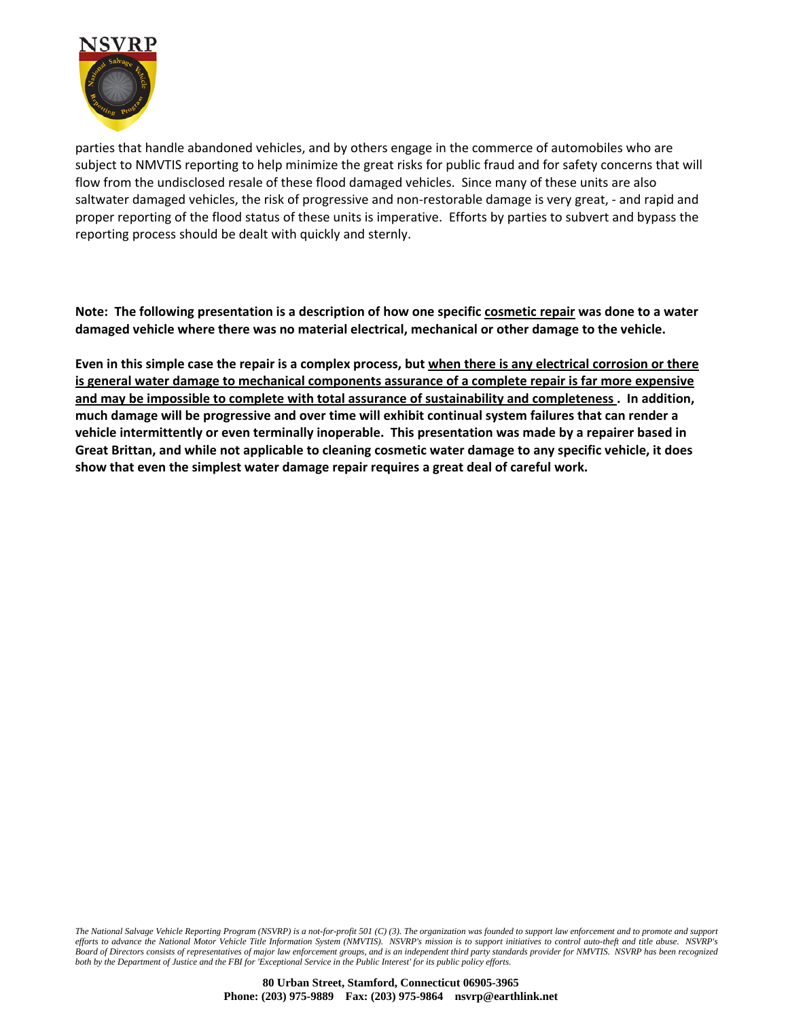

parties that handle abandoned vehicles, and by others engage in the commerce of automobiles who are subject to NMVTIS reporting to help minimize the great risks for public fraud and for safety concerns that will flow from the undisclosed resale of these flood damaged vehicles. Since many of these units are also saltwater damaged vehicles, the risk of progressive and non-restorable damage is very great, - and rapid and proper reporting of the flood status of these units is imperative. Efforts by parties to subvert and bypass the reporting process should be dealt with quickly and sternly.

Note: The following presentation is a description of how one specific cosmetic repair was done to a water **damaged vehicle where there was no material electrical, mechanical or other damage to the vehicle.** 

Even in this simple case the repair is a complex process, but when there is any electrical corrosion or there **is general water damage to mechanical components assurance of a complete repair is far more expensive and may be impossible to complete with total assurance of sustainability and completeness . In addition, much damage will be progressive and over time will exhibit continual system failures that can render a vehicle intermittently or even terminally inoperable. This presentation was made by a repairer based in** Great Brittan, and while not applicable to cleaning cosmetic water damage to any specific vehicle, it does **show that even the simplest water damage repair requires a great deal of careful work.**

*The National Salvage Vehicle Reporting Program (NSVRP) is a not-for-profit 501 (C) (3). The organization was founded to support law enforcement and to promote and support efforts to advance the National Motor Vehicle Title Information System (NMVTIS). NSVRP's mission is to support initiatives to control auto-theft and title abuse. NSVRP's Board of Directors consists of representatives of major law enforcement groups, and is an independent third party standards provider for NMVTIS. NSVRP has been recognized both by the Department of Justice and the FBI for 'Exceptional Service in the Public Interest' for its public policy efforts.*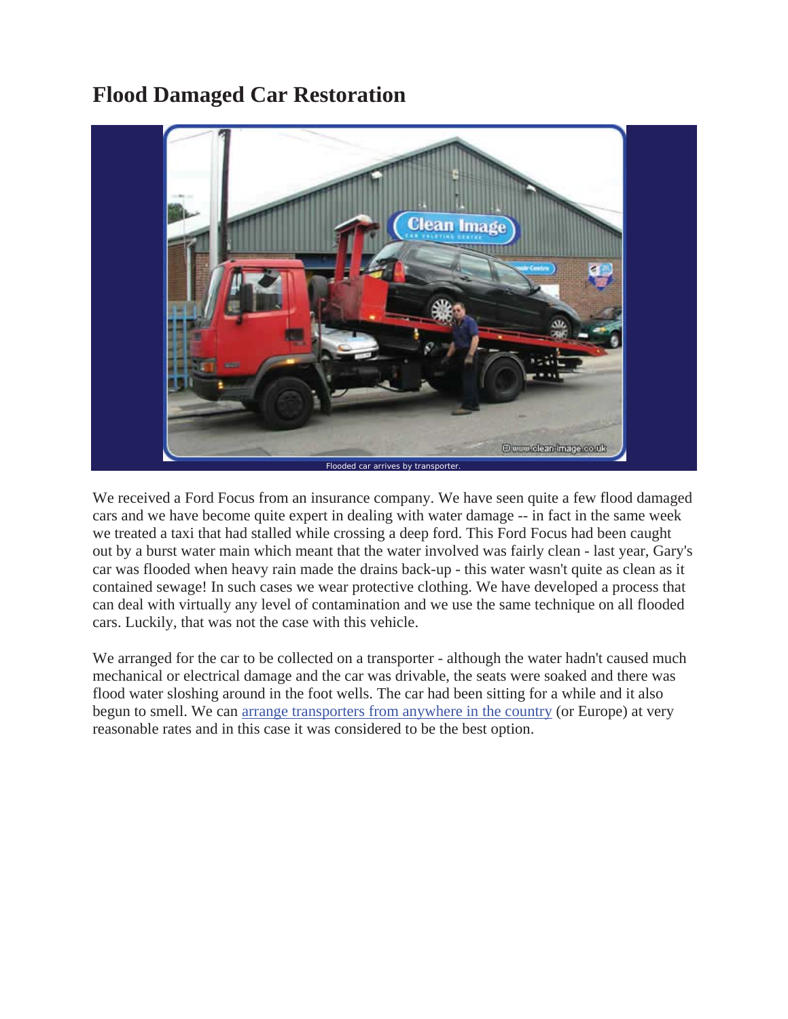# **Flood Damaged Car Restoration**



We received a Ford Focus from an insurance company. We have seen quite a few flood damaged cars and we have become quite expert in dealing with water damage -- in fact in the same week we treated a taxi that had stalled while crossing a deep ford. This Ford Focus had been caught out by a burst water main which meant that the water involved was fairly clean - last year, Gary's car was flooded when heavy rain made the drains back-up - this water wasn't quite as clean as it contained sewage! In such cases we wear protective clothing. We have developed a process that can deal with virtually any level of contamination and we use the same technique on all flooded cars. Luckily, that was not the case with this vehicle.

We arranged for the car to be collected on a transporter - although the water hadn't caused much mechanical or electrical damage and the car was drivable, the seats were soaked and there was flood water sloshing around in the foot wells. The car had been sitting for a while and it also begun to smell. We can arrange transporters from anywhere in the country (or Europe) at very reasonable rates and in this case it was considered to be the best option.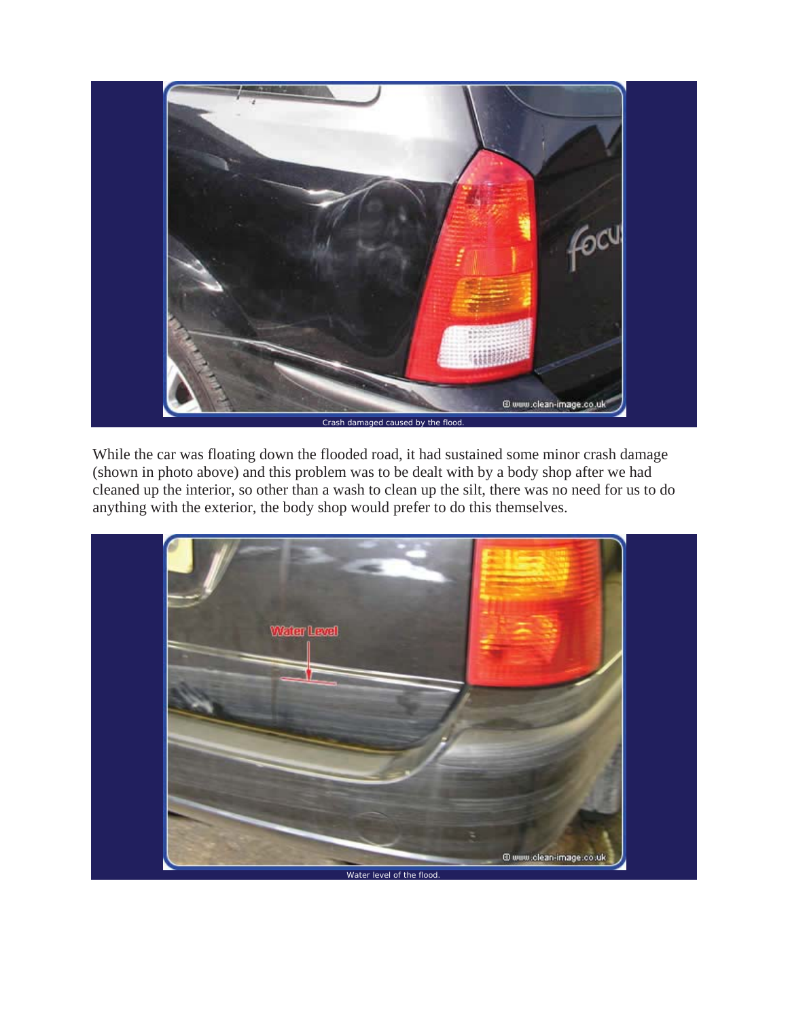

While the car was floating down the flooded road, it had sustained some minor crash damage (shown in photo above) and this problem was to be dealt with by a body shop after we had cleaned up the interior, so other than a wash to clean up the silt, there was no need for us to do anything with the exterior, the body shop would prefer to do this themselves.

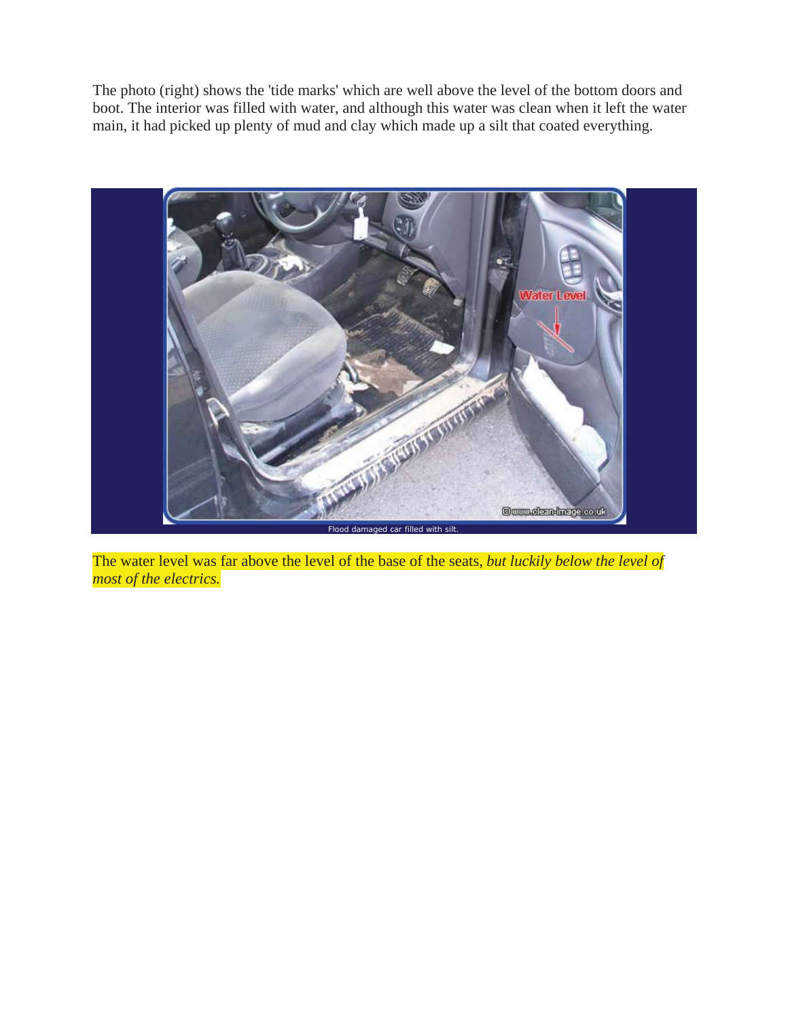The photo (right) shows the 'tide marks' which are well above the level of the bottom doors and boot. The interior was filled with water, and although this water was clean when it left the water main, it had picked up plenty of mud and clay which made up a silt that coated everything.



The water level was far above the level of the base of the seats, *but luckily below the level of most of the electrics.*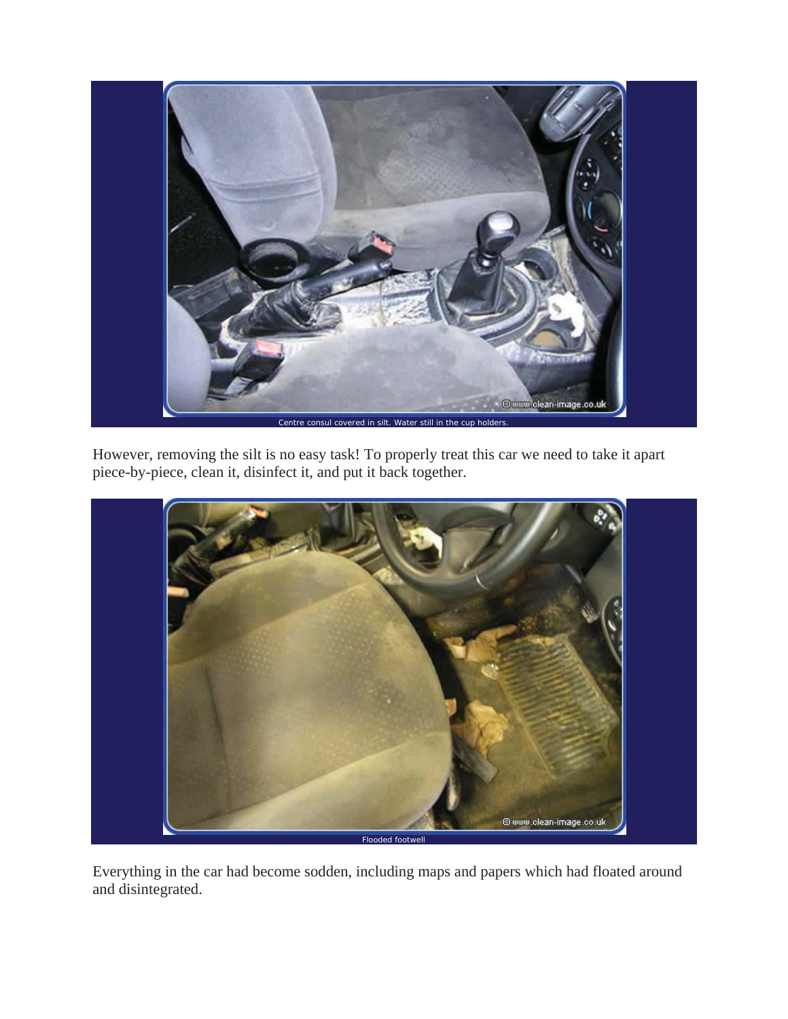

However, removing the silt is no easy task! To properly treat this car we need to take it apart piece-by-piece, clean it, disinfect it, and put it back together.



Everything in the car had become sodden, including maps and papers which had floated around and disintegrated.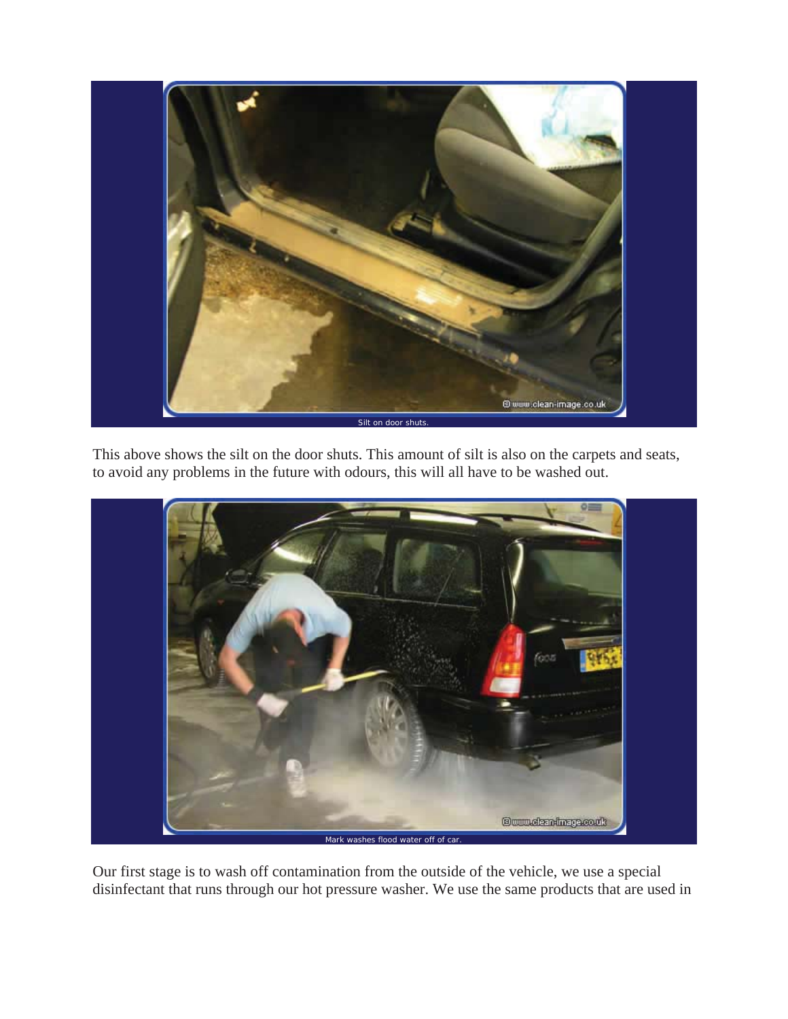

This above shows the silt on the door shuts. This amount of silt is also on the carpets and seats, to avoid any problems in the future with odours, this will all have to be washed out.



Our first stage is to wash off contamination from the outside of the vehicle, we use a special disinfectant that runs through our hot pressure washer. We use the same products that are used in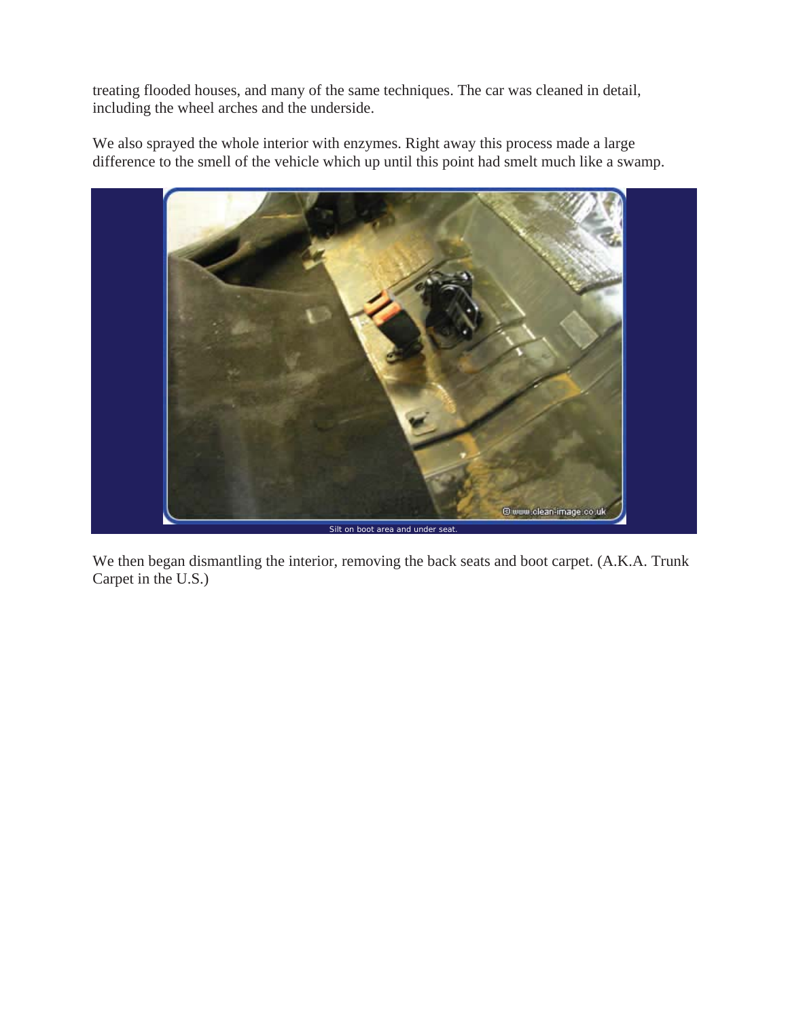treating flooded houses, and many of the same techniques. The car was cleaned in detail, including the wheel arches and the underside.

We also sprayed the whole interior with enzymes. Right away this process made a large difference to the smell of the vehicle which up until this point had smelt much like a swamp.



We then began dismantling the interior, removing the back seats and boot carpet. (A.K.A. Trunk Carpet in the U.S.)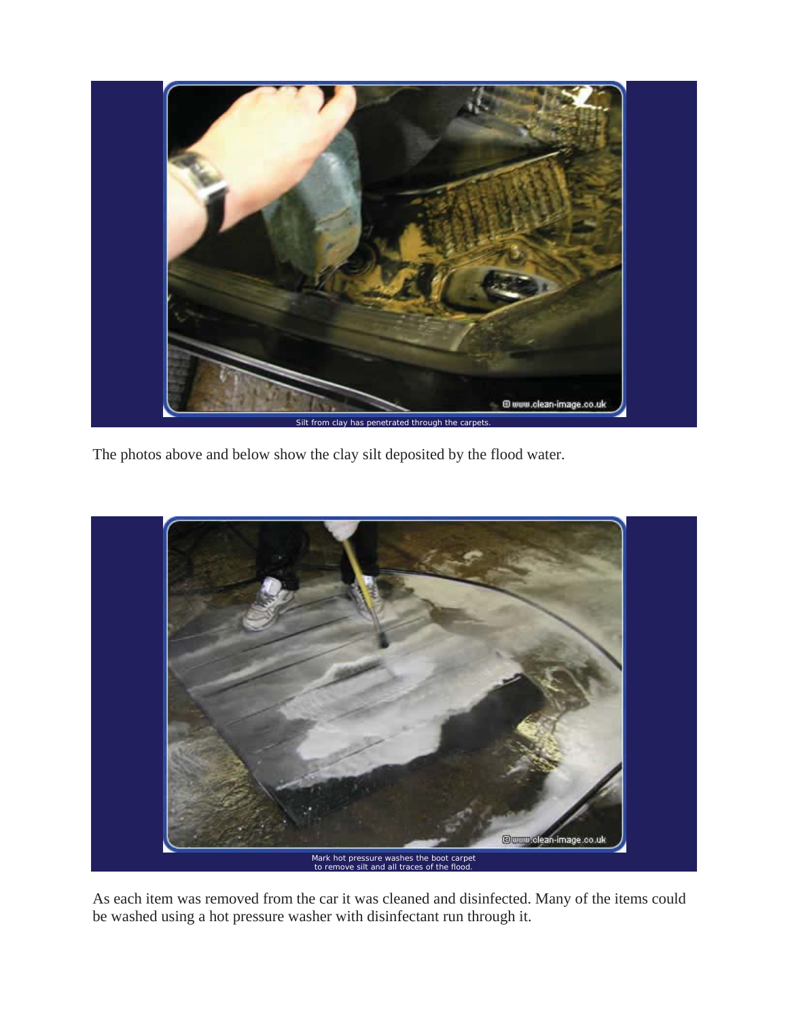

The photos above and below show the clay silt deposited by the flood water.



As each item was removed from the car it was cleaned and disinfected. Many of the items could be washed using a hot pressure washer with disinfectant run through it.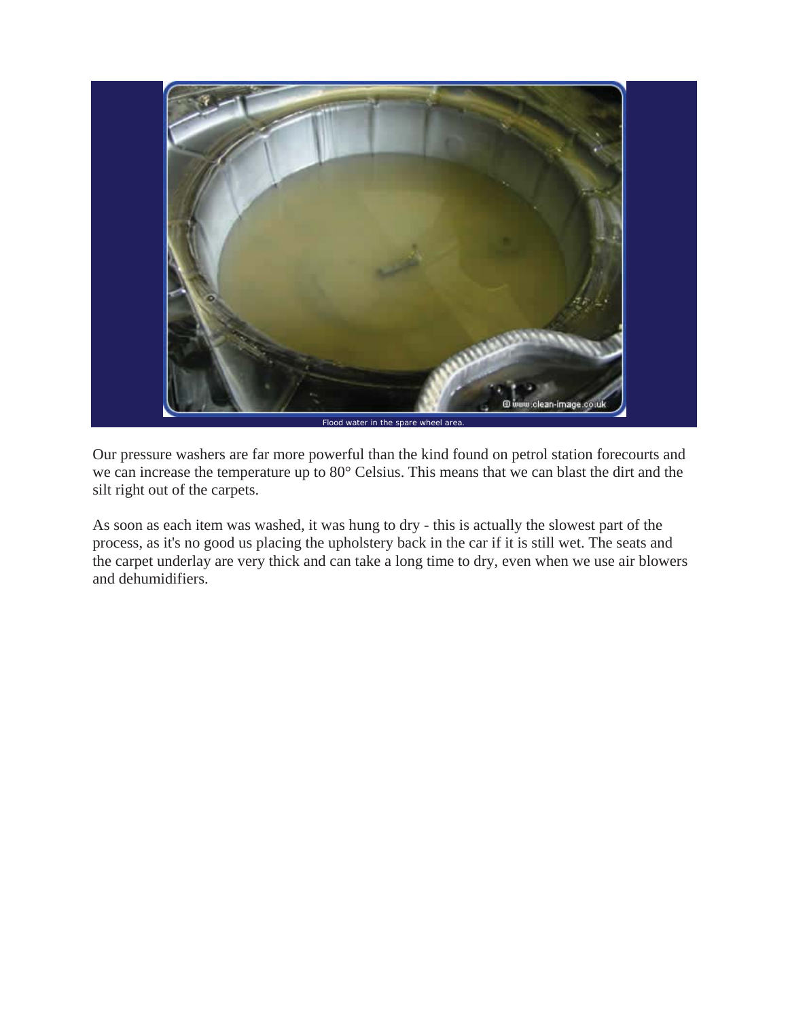

Our pressure washers are far more powerful than the kind found on petrol station forecourts and we can increase the temperature up to 80° Celsius. This means that we can blast the dirt and the silt right out of the carpets.

As soon as each item was washed, it was hung to dry - this is actually the slowest part of the process, as it's no good us placing the upholstery back in the car if it is still wet. The seats and the carpet underlay are very thick and can take a long time to dry, even when we use air blowers and dehumidifiers.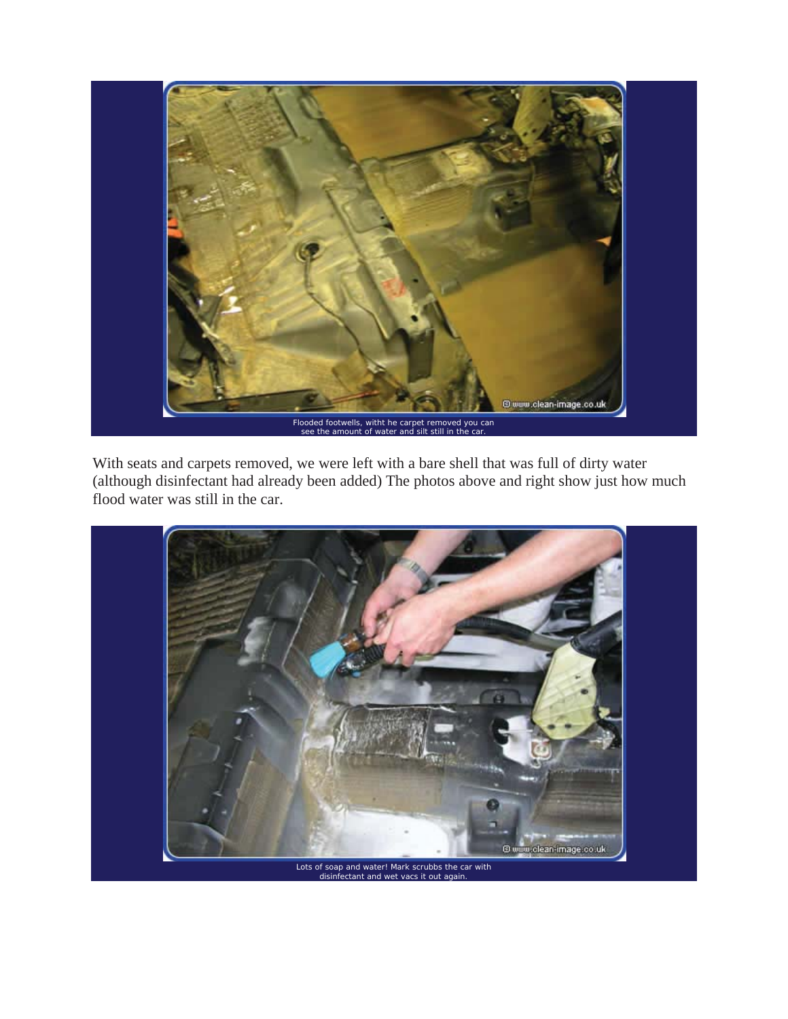

With seats and carpets removed, we were left with a bare shell that was full of dirty water (although disinfectant had already been added) The photos above and right show just how much flood water was still in the car.

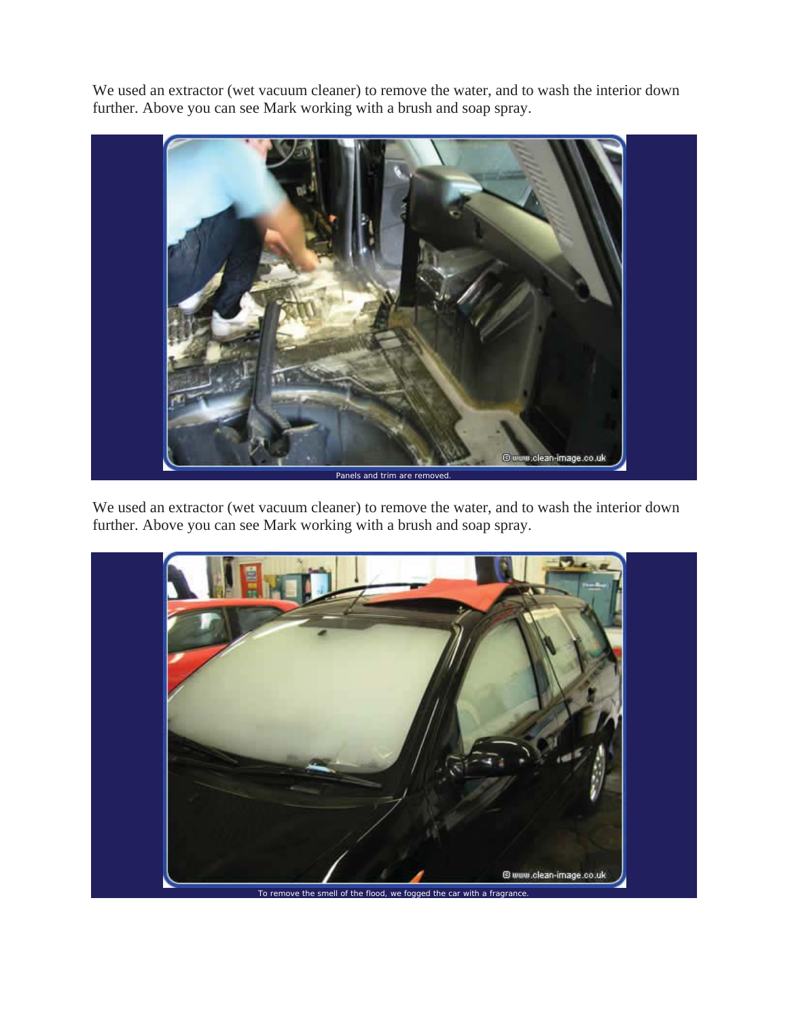We used an extractor (wet vacuum cleaner) to remove the water, and to wash the interior down further. Above you can see Mark working with a brush and soap spray.



We used an extractor (wet vacuum cleaner) to remove the water, and to wash the interior down further. Above you can see Mark working with a brush and soap spray.



To remove the smell of the flood, we fogged the car with a fragrance.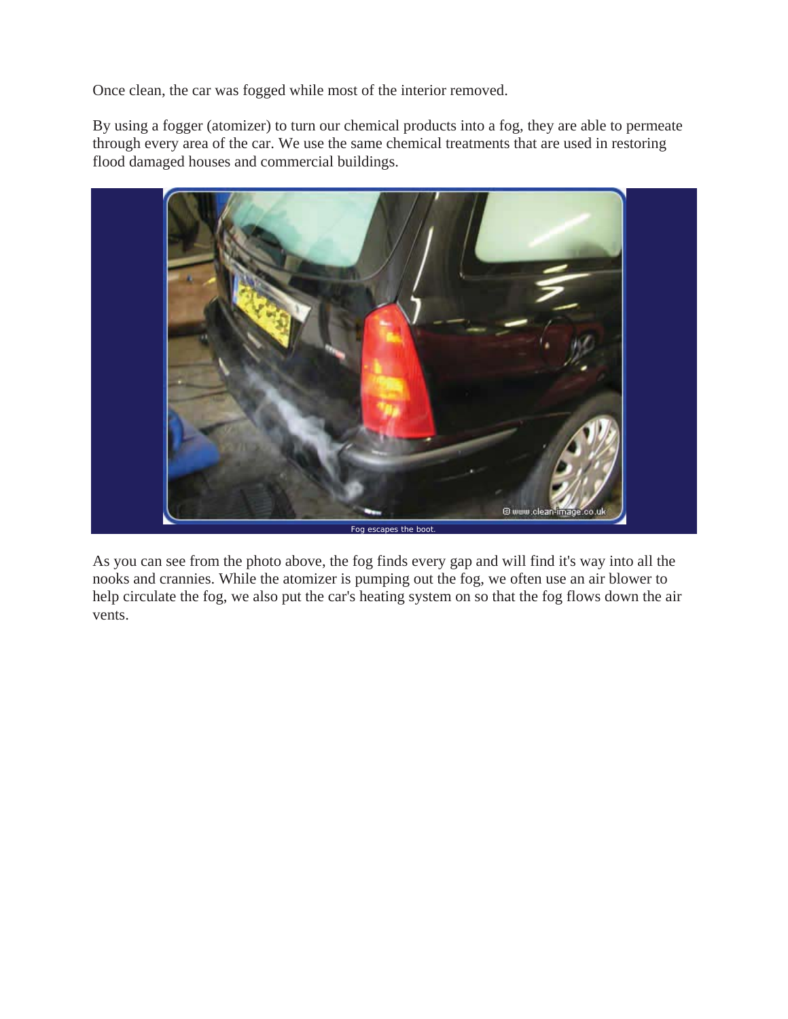Once clean, the car was fogged while most of the interior removed.

By using a fogger (atomizer) to turn our chemical products into a fog, they are able to permeate through every area of the car. We use the same chemical treatments that are used in restoring flood damaged houses and commercial buildings.



As you can see from the photo above, the fog finds every gap and will find it's way into all the nooks and crannies. While the atomizer is pumping out the fog, we often use an air blower to help circulate the fog, we also put the car's heating system on so that the fog flows down the air vents.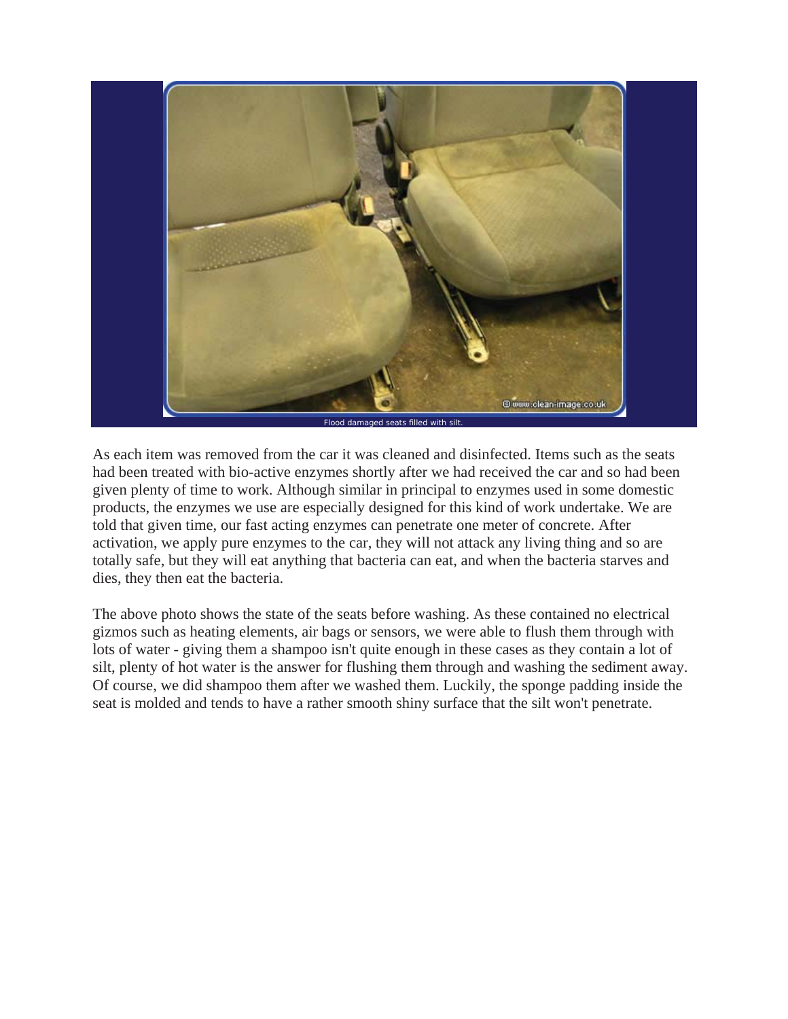

As each item was removed from the car it was cleaned and disinfected. Items such as the seats had been treated with bio-active enzymes shortly after we had received the car and so had been given plenty of time to work. Although similar in principal to enzymes used in some domestic products, the enzymes we use are especially designed for this kind of work undertake. We are told that given time, our fast acting enzymes can penetrate one meter of concrete. After activation, we apply pure enzymes to the car, they will not attack any living thing and so are totally safe, but they will eat anything that bacteria can eat, and when the bacteria starves and dies, they then eat the bacteria.

The above photo shows the state of the seats before washing. As these contained no electrical gizmos such as heating elements, air bags or sensors, we were able to flush them through with lots of water - giving them a shampoo isn't quite enough in these cases as they contain a lot of silt, plenty of hot water is the answer for flushing them through and washing the sediment away. Of course, we did shampoo them after we washed them. Luckily, the sponge padding inside the seat is molded and tends to have a rather smooth shiny surface that the silt won't penetrate.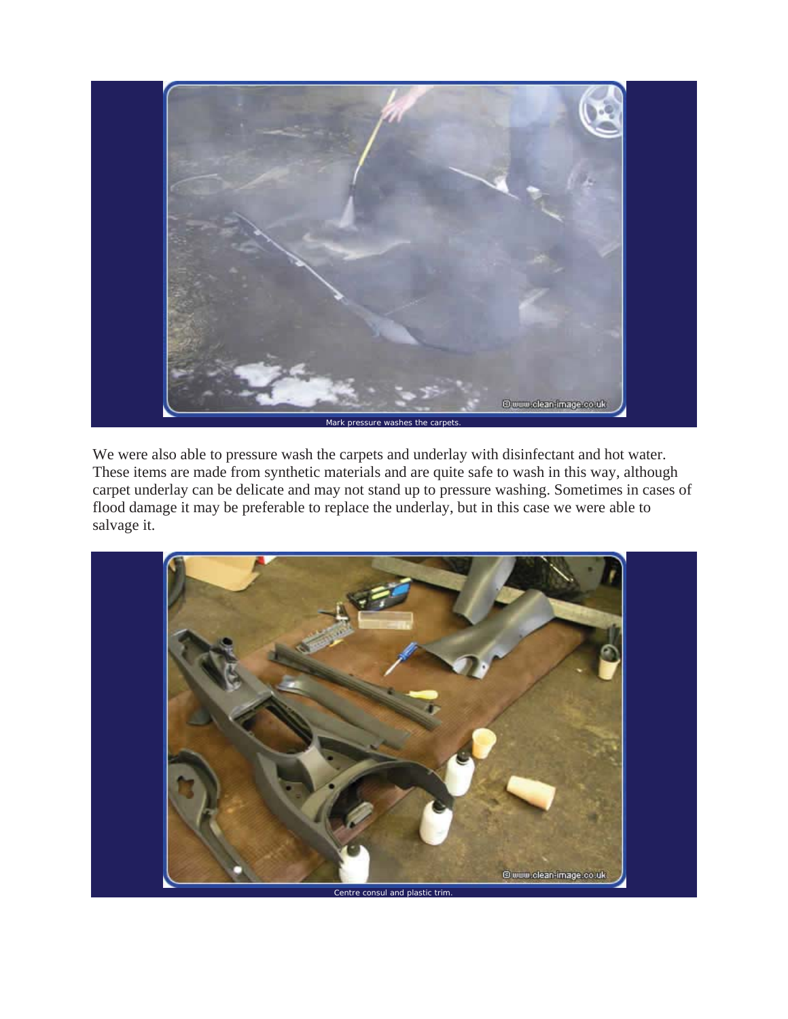

We were also able to pressure wash the carpets and underlay with disinfectant and hot water. These items are made from synthetic materials and are quite safe to wash in this way, although carpet underlay can be delicate and may not stand up to pressure washing. Sometimes in cases of flood damage it may be preferable to replace the underlay, but in this case we were able to salvage it.

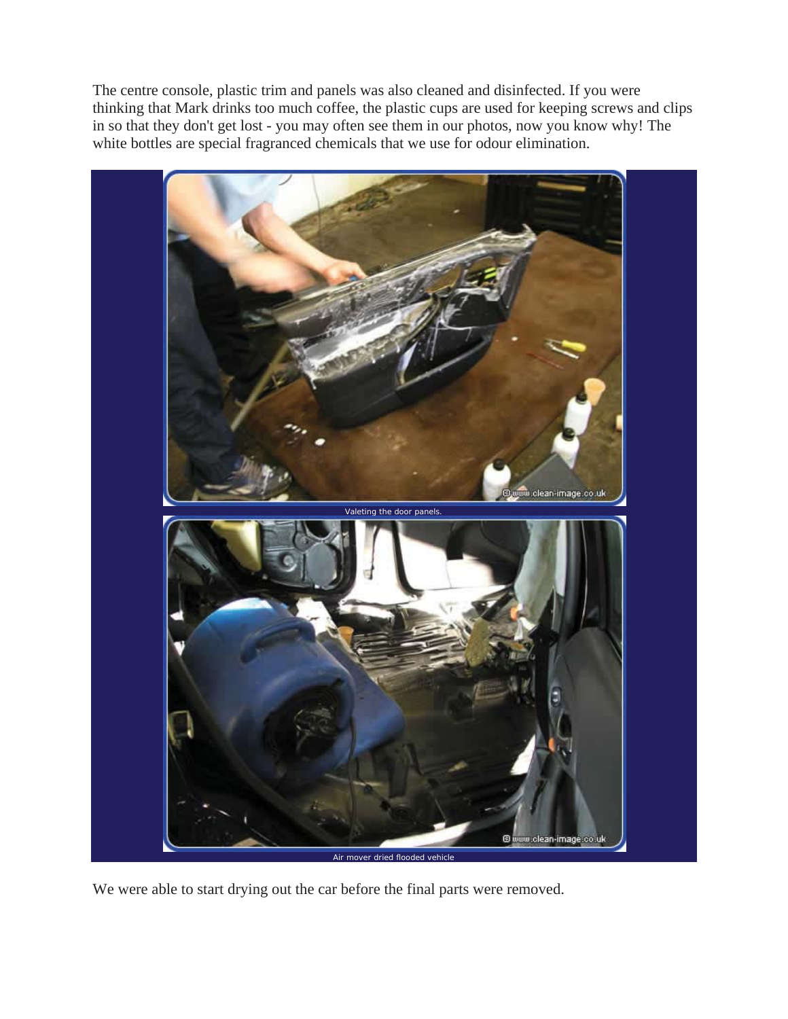The centre console, plastic trim and panels was also cleaned and disinfected. If you were thinking that Mark drinks too much coffee, the plastic cups are used for keeping screws and clips in so that they don't get lost - you may often see them in our photos, now you know why! The white bottles are special fragranced chemicals that we use for odour elimination.



We were able to start drying out the car before the final parts were removed.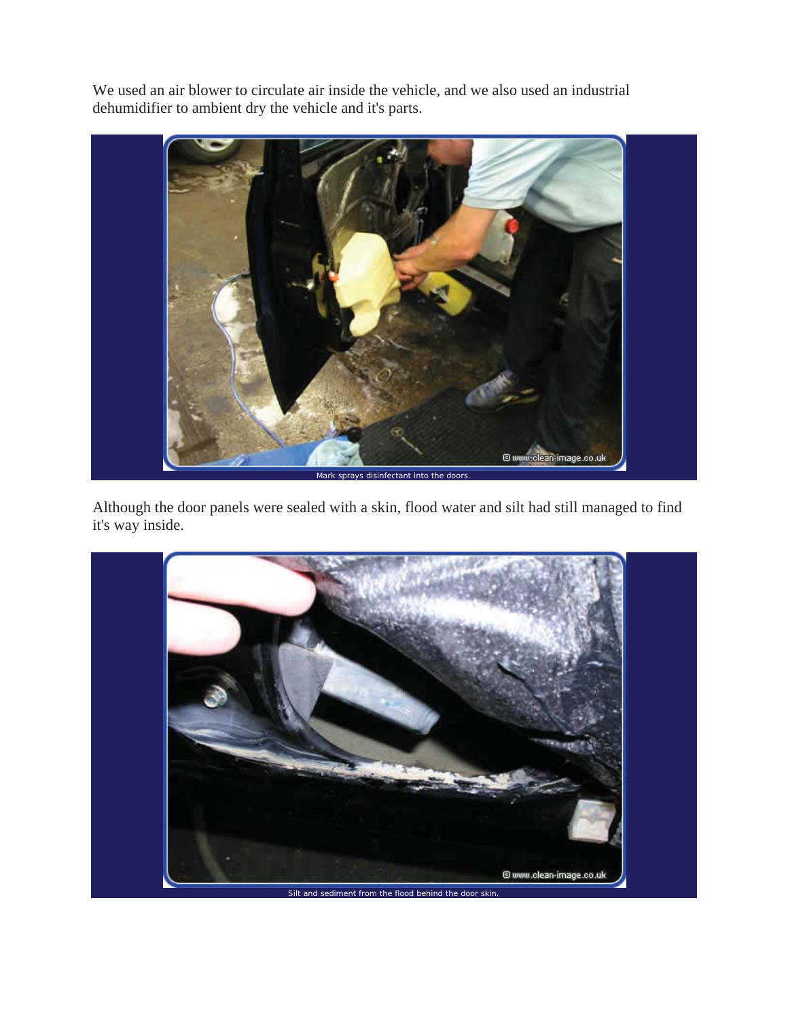We used an air blower to circulate air inside the vehicle, and we also used an industrial dehumidifier to ambient dry the vehicle and it's parts.



Although the door panels were sealed with a skin, flood water and silt had still managed to find it's way inside.

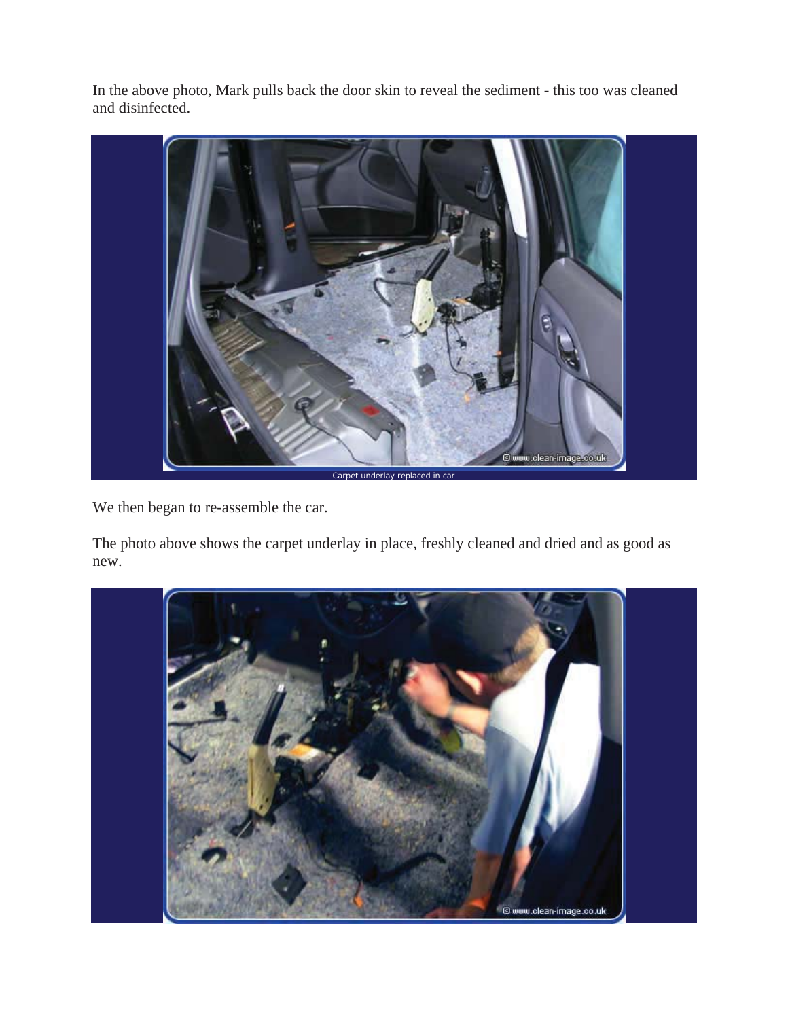In the above photo, Mark pulls back the door skin to reveal the sediment - this too was cleaned and disinfected.



We then began to re-assemble the car.

The photo above shows the carpet underlay in place, freshly cleaned and dried and as good as new.

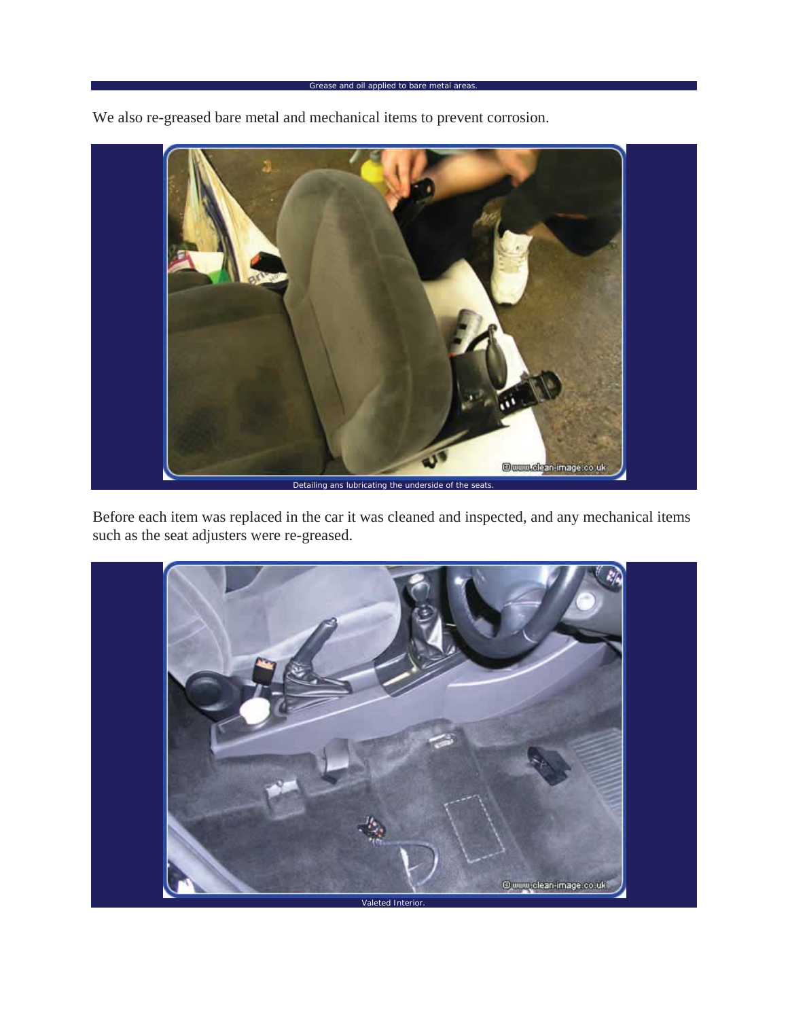We also re-greased bare metal and mechanical items to prevent corrosion.



Before each item was replaced in the car it was cleaned and inspected, and any mechanical items such as the seat adjusters were re-greased.

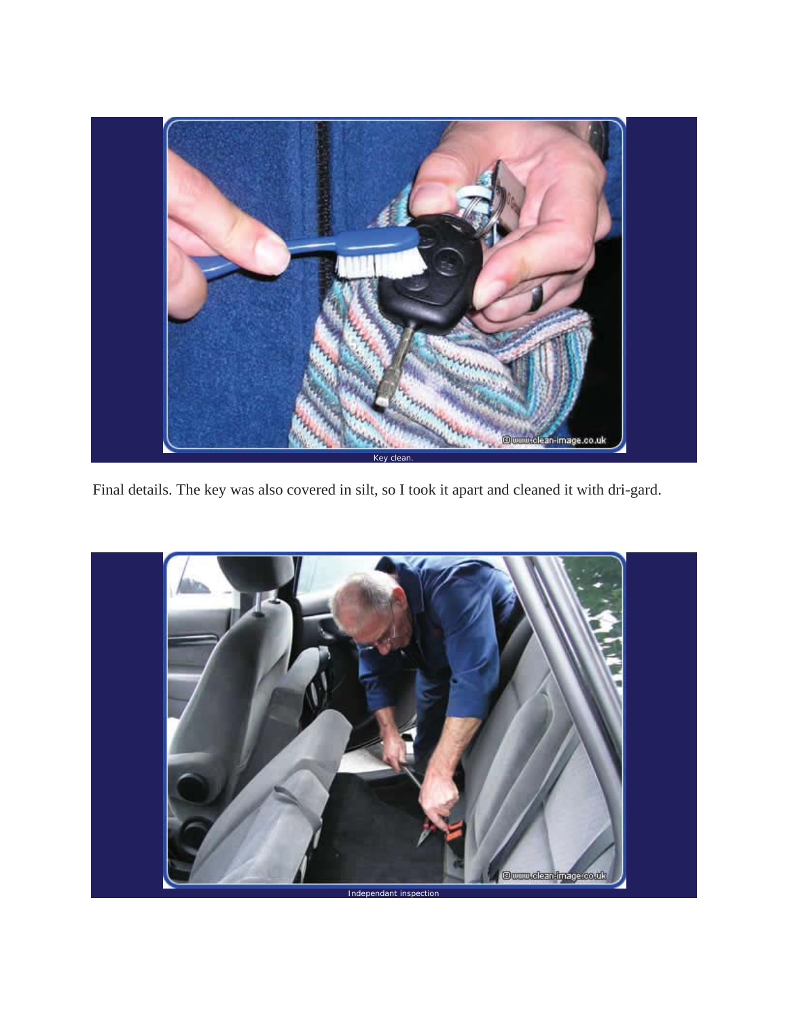

Final details. The key was also covered in silt, so I took it apart and cleaned it with dri-gard.

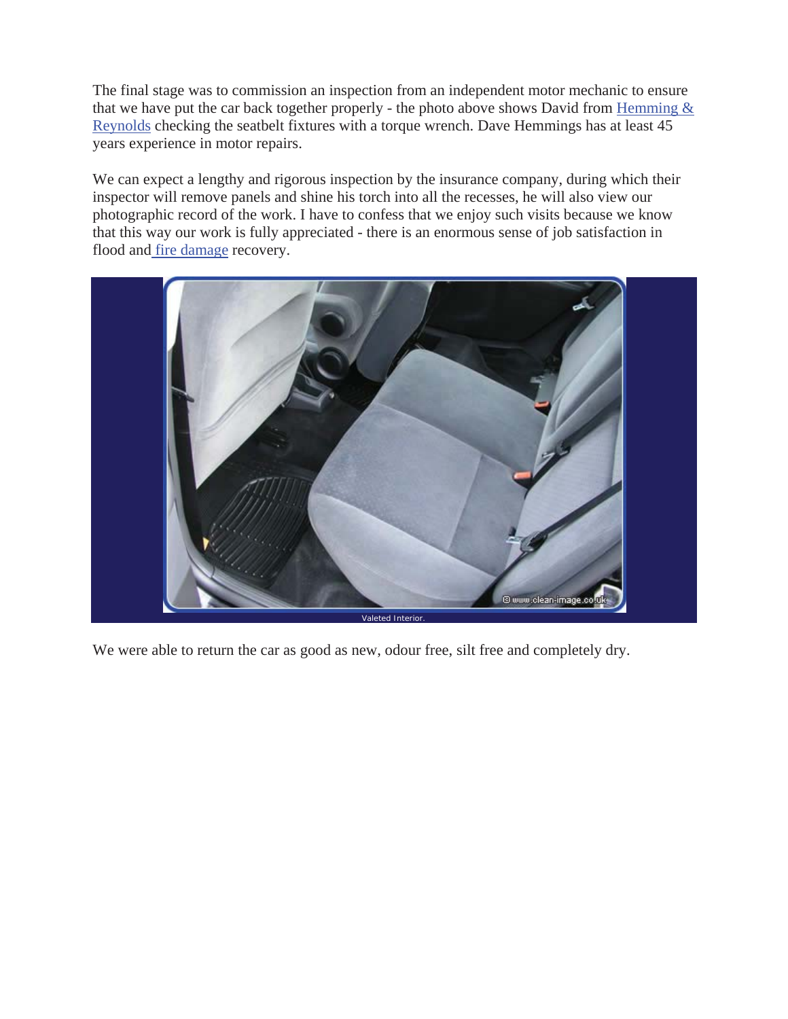The final stage was to commission an inspection from an independent motor mechanic to ensure that we have put the car back together properly - the photo above shows David from Hemming  $\&$ Reynolds checking the seatbelt fixtures with a torque wrench. Dave Hemmings has at least 45 years experience in motor repairs.

We can expect a lengthy and rigorous inspection by the insurance company, during which their inspector will remove panels and shine his torch into all the recesses, he will also view our photographic record of the work. I have to confess that we enjoy such visits because we know that this way our work is fully appreciated - there is an enormous sense of job satisfaction in flood and fire damage recovery.



We were able to return the car as good as new, odour free, silt free and completely dry.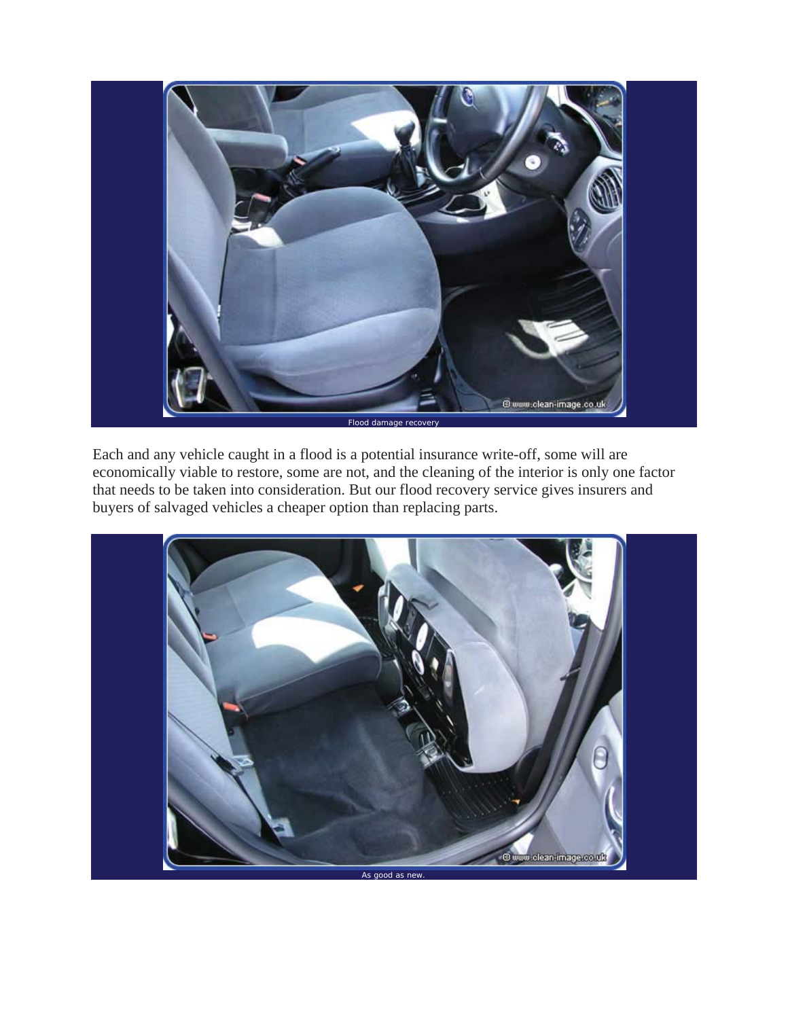

Each and any vehicle caught in a flood is a potential insurance write-off, some will are economically viable to restore, some are not, and the cleaning of the interior is only one factor that needs to be taken into consideration. But our flood recovery service gives insurers and buyers of salvaged vehicles a cheaper option than replacing parts.